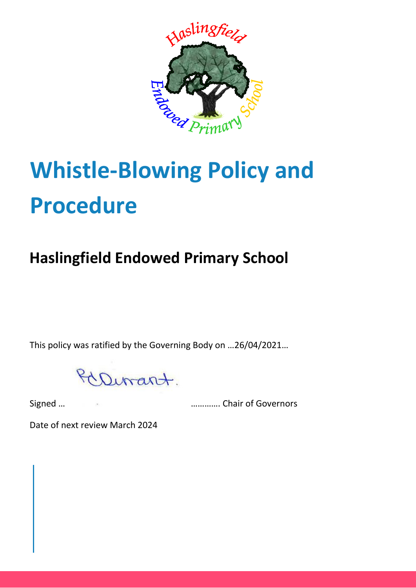

# **Whistle-Blowing Policy and Procedure**

# **Haslingfield Endowed Primary School**

This policy was ratified by the Governing Body on …26/04/2021…

Dirant.

Signed … **Exercise 2.2 Chair of Governors** 

Date of next review March 2024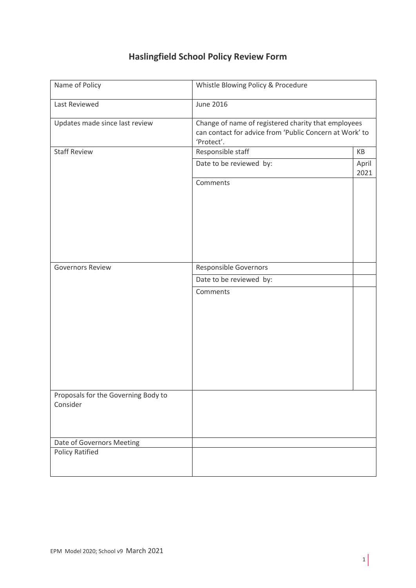| Name of Policy                                  | Whistle Blowing Policy & Procedure                                                                                           |               |
|-------------------------------------------------|------------------------------------------------------------------------------------------------------------------------------|---------------|
| Last Reviewed                                   | <b>June 2016</b>                                                                                                             |               |
| Updates made since last review                  | Change of name of registered charity that employees<br>can contact for advice from 'Public Concern at Work' to<br>'Protect'. |               |
| <b>Staff Review</b>                             | Responsible staff                                                                                                            | KB            |
|                                                 | Date to be reviewed by:                                                                                                      | April<br>2021 |
|                                                 | Comments                                                                                                                     |               |
| <b>Governors Review</b>                         | <b>Responsible Governors</b>                                                                                                 |               |
|                                                 | Date to be reviewed by:                                                                                                      |               |
|                                                 | Comments                                                                                                                     |               |
| Proposals for the Governing Body to<br>Consider |                                                                                                                              |               |
| Date of Governors Meeting                       |                                                                                                                              |               |
| <b>Policy Ratified</b>                          |                                                                                                                              |               |

### **Haslingfield School Policy Review Form**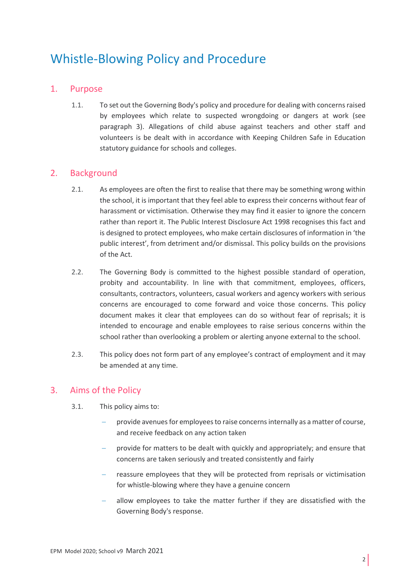## Whistle-Blowing Policy and Procedure

#### 1. Purpose

1.1. To set out the Governing Body's policy and procedure for dealing with concerns raised by employees which relate to suspected wrongdoing or dangers at work (see paragraph 3). Allegations of child abuse against teachers and other staff and volunteers is be dealt with in accordance with Keeping Children Safe in Education statutory guidance for schools and colleges.

#### 2. Background

- 2.1. As employees are often the first to realise that there may be something wrong within the school, it is important that they feel able to express their concerns without fear of harassment or victimisation. Otherwise they may find it easier to ignore the concern rather than report it. The Public Interest Disclosure Act 1998 recognises this fact and is designed to protect employees, who make certain disclosures of information in 'the public interest', from detriment and/or dismissal. This policy builds on the provisions of the Act.
- 2.2. The Governing Body is committed to the highest possible standard of operation, probity and accountability. In line with that commitment, employees, officers, consultants, contractors, volunteers, casual workers and agency workers with serious concerns are encouraged to come forward and voice those concerns. This policy document makes it clear that employees can do so without fear of reprisals; it is intended to encourage and enable employees to raise serious concerns within the school rather than overlooking a problem or alerting anyone external to the school.
- 2.3. This policy does not form part of any employee's contract of employment and it may be amended at any time.

#### 3. Aims of the Policy

- 3.1. This policy aims to:
	- provide avenues for employees to raise concerns internally as a matter of course, and receive feedback on any action taken
	- provide for matters to be dealt with quickly and appropriately; and ensure that concerns are taken seriously and treated consistently and fairly
	- reassure employees that they will be protected from reprisals or victimisation for whistle-blowing where they have a genuine concern
	- allow employees to take the matter further if they are dissatisfied with the Governing Body's response.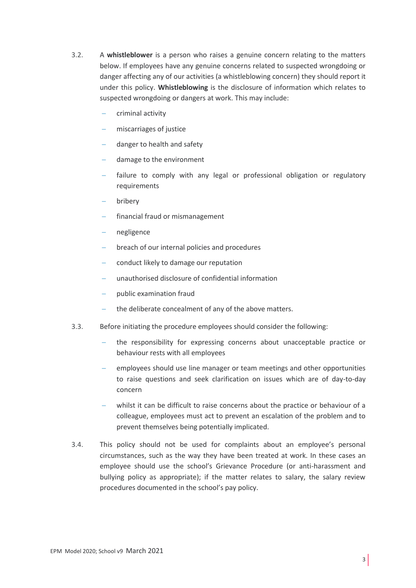- 3.2. A **whistleblower** is a person who raises a genuine concern relating to the matters below. If employees have any genuine concerns related to suspected wrongdoing or danger affecting any of our activities (a whistleblowing concern) they should report it under this policy. **Whistleblowing** is the disclosure of information which relates to suspected wrongdoing or dangers at work. This may include:
	- criminal activity
	- miscarriages of justice
	- danger to health and safety
	- damage to the environment
	- failure to comply with any legal or professional obligation or regulatory requirements
	- bribery
	- financial fraud or mismanagement
	- negligence
	- breach of our internal policies and procedures
	- conduct likely to damage our reputation
	- unauthorised disclosure of confidential information
	- public examination fraud
	- the deliberate concealment of any of the above matters.
- 3.3. Before initiating the procedure employees should consider the following:
	- the responsibility for expressing concerns about unacceptable practice or behaviour rests with all employees
	- employees should use line manager or team meetings and other opportunities to raise questions and seek clarification on issues which are of day-to-day concern
	- whilst it can be difficult to raise concerns about the practice or behaviour of a colleague, employees must act to prevent an escalation of the problem and to prevent themselves being potentially implicated.
- 3.4. This policy should not be used for complaints about an employee's personal circumstances, such as the way they have been treated at work. In these cases an employee should use the school's Grievance Procedure (or anti-harassment and bullying policy as appropriate); if the matter relates to salary, the salary review procedures documented in the school's pay policy.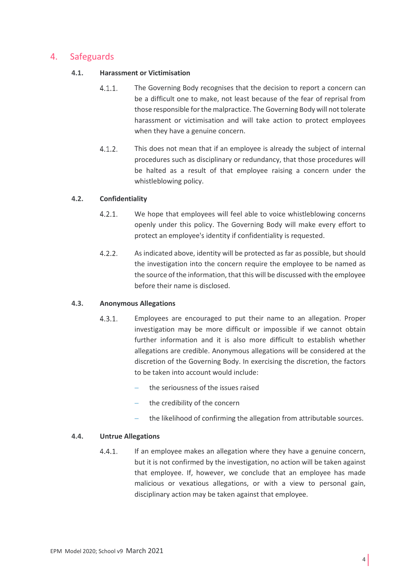#### 4. Safeguards

#### **4.1. Harassment or Victimisation**

- $4.1.1.$ The Governing Body recognises that the decision to report a concern can be a difficult one to make, not least because of the fear of reprisal from those responsible for the malpractice. The Governing Body will not tolerate harassment or victimisation and will take action to protect employees when they have a genuine concern.
- $4.1.2.$ This does not mean that if an employee is already the subject of internal procedures such as disciplinary or redundancy, that those procedures will be halted as a result of that employee raising a concern under the whistleblowing policy.

#### **4.2. Confidentiality**

- $4.2.1.$ We hope that employees will feel able to voice whistleblowing concerns openly under this policy. The Governing Body will make every effort to protect an employee's identity if confidentiality is requested.
- $4.2.2.$ As indicated above, identity will be protected as far as possible, but should the investigation into the concern require the employee to be named as the source of the information, that this will be discussed with the employee before their name is disclosed.

#### **4.3. Anonymous Allegations**

- $4.3.1$ Employees are encouraged to put their name to an allegation. Proper investigation may be more difficult or impossible if we cannot obtain further information and it is also more difficult to establish whether allegations are credible. Anonymous allegations will be considered at the discretion of the Governing Body. In exercising the discretion, the factors to be taken into account would include:
	- the seriousness of the issues raised
	- the credibility of the concern
	- the likelihood of confirming the allegation from attributable sources.

#### **4.4. Untrue Allegations**

 $4.4.1$ . If an employee makes an allegation where they have a genuine concern, but it is not confirmed by the investigation, no action will be taken against that employee. If, however, we conclude that an employee has made malicious or vexatious allegations, or with a view to personal gain, disciplinary action may be taken against that employee.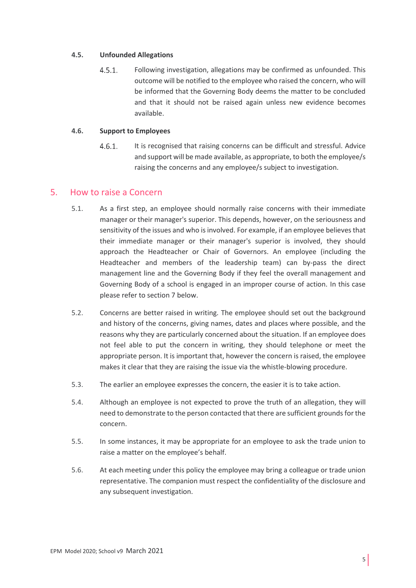#### **4.5. Unfounded Allegations**

 $4.5.1.$ Following investigation, allegations may be confirmed as unfounded. This outcome will be notified to the employee who raised the concern, who will be informed that the Governing Body deems the matter to be concluded and that it should not be raised again unless new evidence becomes available.

#### **4.6. Support to Employees**

 $4.6.1$ It is recognised that raising concerns can be difficult and stressful. Advice and support will be made available, as appropriate, to both the employee/s raising the concerns and any employee/s subject to investigation.

#### 5. How to raise a Concern

- 5.1. As a first step, an employee should normally raise concerns with their immediate manager or their manager's superior. This depends, however, on the seriousness and sensitivity of the issues and who is involved. For example, if an employee believes that their immediate manager or their manager's superior is involved, they should approach the Headteacher or Chair of Governors. An employee (including the Headteacher and members of the leadership team) can by-pass the direct management line and the Governing Body if they feel the overall management and Governing Body of a school is engaged in an improper course of action. In this case please refer to section 7 below.
- 5.2. Concerns are better raised in writing. The employee should set out the background and history of the concerns, giving names, dates and places where possible, and the reasons why they are particularly concerned about the situation. If an employee does not feel able to put the concern in writing, they should telephone or meet the appropriate person. It is important that, however the concern is raised, the employee makes it clear that they are raising the issue via the whistle-blowing procedure.
- 5.3. The earlier an employee expresses the concern, the easier it is to take action.
- 5.4. Although an employee is not expected to prove the truth of an allegation, they will need to demonstrate to the person contacted that there are sufficient grounds for the concern.
- 5.5. In some instances, it may be appropriate for an employee to ask the trade union to raise a matter on the employee's behalf.
- 5.6. At each meeting under this policy the employee may bring a colleague or trade union representative. The companion must respect the confidentiality of the disclosure and any subsequent investigation.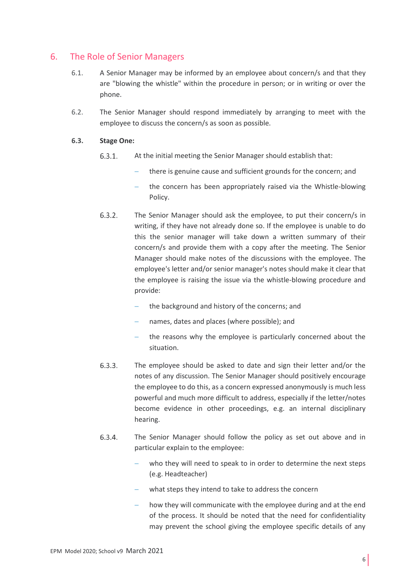#### 6. The Role of Senior Managers

- 6.1. A Senior Manager may be informed by an employee about concern/s and that they are "blowing the whistle" within the procedure in person; or in writing or over the phone.
- 6.2. The Senior Manager should respond immediately by arranging to meet with the employee to discuss the concern/s as soon as possible.

#### **6.3. Stage One:**

- $6.3.1.$ At the initial meeting the Senior Manager should establish that:
	- there is genuine cause and sufficient grounds for the concern; and
	- the concern has been appropriately raised via the Whistle-blowing Policy.
- $6.3.2.$ The Senior Manager should ask the employee, to put their concern/s in writing, if they have not already done so. If the employee is unable to do this the senior manager will take down a written summary of their concern/s and provide them with a copy after the meeting. The Senior Manager should make notes of the discussions with the employee. The employee's letter and/or senior manager's notes should make it clear that the employee is raising the issue via the whistle-blowing procedure and provide:
	- the background and history of the concerns; and
	- names, dates and places (where possible); and
	- the reasons why the employee is particularly concerned about the situation.
- 633 The employee should be asked to date and sign their letter and/or the notes of any discussion. The Senior Manager should positively encourage the employee to do this, as a concern expressed anonymously is much less powerful and much more difficult to address, especially if the letter/notes become evidence in other proceedings, e.g. an internal disciplinary hearing.
- $6.3.4.$ The Senior Manager should follow the policy as set out above and in particular explain to the employee:
	- who they will need to speak to in order to determine the next steps (e.g. Headteacher)
	- what steps they intend to take to address the concern
	- how they will communicate with the employee during and at the end of the process. It should be noted that the need for confidentiality may prevent the school giving the employee specific details of any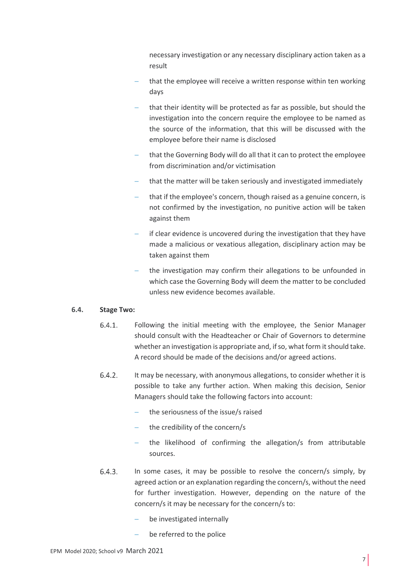necessary investigation or any necessary disciplinary action taken as a result

- that the employee will receive a written response within ten working days
- that their identity will be protected as far as possible, but should the investigation into the concern require the employee to be named as the source of the information, that this will be discussed with the employee before their name is disclosed
- that the Governing Body will do all that it can to protect the employee from discrimination and/or victimisation
- that the matter will be taken seriously and investigated immediately
- that if the employee's concern, though raised as a genuine concern, is not confirmed by the investigation, no punitive action will be taken against them
- if clear evidence is uncovered during the investigation that they have made a malicious or vexatious allegation, disciplinary action may be taken against them
- the investigation may confirm their allegations to be unfounded in which case the Governing Body will deem the matter to be concluded unless new evidence becomes available.

#### **6.4. Stage Two:**

- Following the initial meeting with the employee, the Senior Manager  $6.4.1.$ should consult with the Headteacher or Chair of Governors to determine whether an investigation is appropriate and, if so, what form it should take. A record should be made of the decisions and/or agreed actions.
- $6.4.2.$ It may be necessary, with anonymous allegations, to consider whether it is possible to take any further action. When making this decision, Senior Managers should take the following factors into account:
	- the seriousness of the issue/s raised
	- the credibility of the concern/s
	- the likelihood of confirming the allegation/s from attributable sources.
- $6.4.3.$ In some cases, it may be possible to resolve the concern/s simply, by agreed action or an explanation regarding the concern/s, without the need for further investigation. However, depending on the nature of the concern/s it may be necessary for the concern/s to:
	- be investigated internally
	- be referred to the police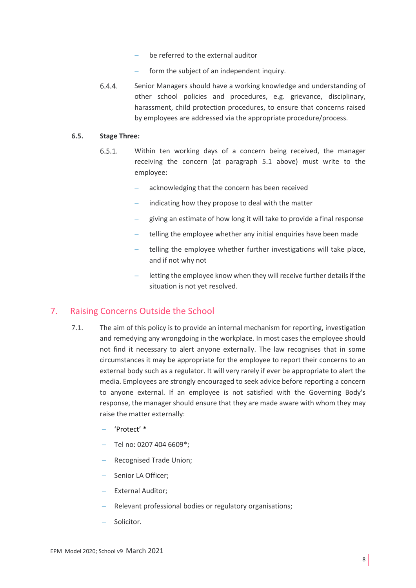- be referred to the external auditor
- form the subject of an independent inquiry.
- $6.4.4.$ Senior Managers should have a working knowledge and understanding of other school policies and procedures, e.g. grievance, disciplinary, harassment, child protection procedures, to ensure that concerns raised by employees are addressed via the appropriate procedure/process.

#### **6.5. Stage Three:**

- $6.5.1.$ Within ten working days of a concern being received, the manager receiving the concern (at paragraph 5.1 above) must write to the employee:
	- acknowledging that the concern has been received
	- indicating how they propose to deal with the matter
	- giving an estimate of how long it will take to provide a final response
	- telling the employee whether any initial enquiries have been made
	- telling the employee whether further investigations will take place, and if not why not
	- letting the employee know when they will receive further details if the situation is not yet resolved.

#### 7. Raising Concerns Outside the School

- 7.1. The aim of this policy is to provide an internal mechanism for reporting, investigation and remedying any wrongdoing in the workplace. In most cases the employee should not find it necessary to alert anyone externally. The law recognises that in some circumstances it may be appropriate for the employee to report their concerns to an external body such as a regulator. It will very rarely if ever be appropriate to alert the media. Employees are strongly encouraged to seek advice before reporting a concern to anyone external. If an employee is not satisfied with the Governing Body's response, the manager should ensure that they are made aware with whom they may raise the matter externally:
	- ['Protect'](http://www.pcaw.co.uk/) \*
	- $-$  Tel no: 0207 404 6609\*;
	- Recognised Trade Union;
	- Senior LA Officer;
	- External Auditor;
	- Relevant professional bodies or regulatory organisations;
	- Solicitor.